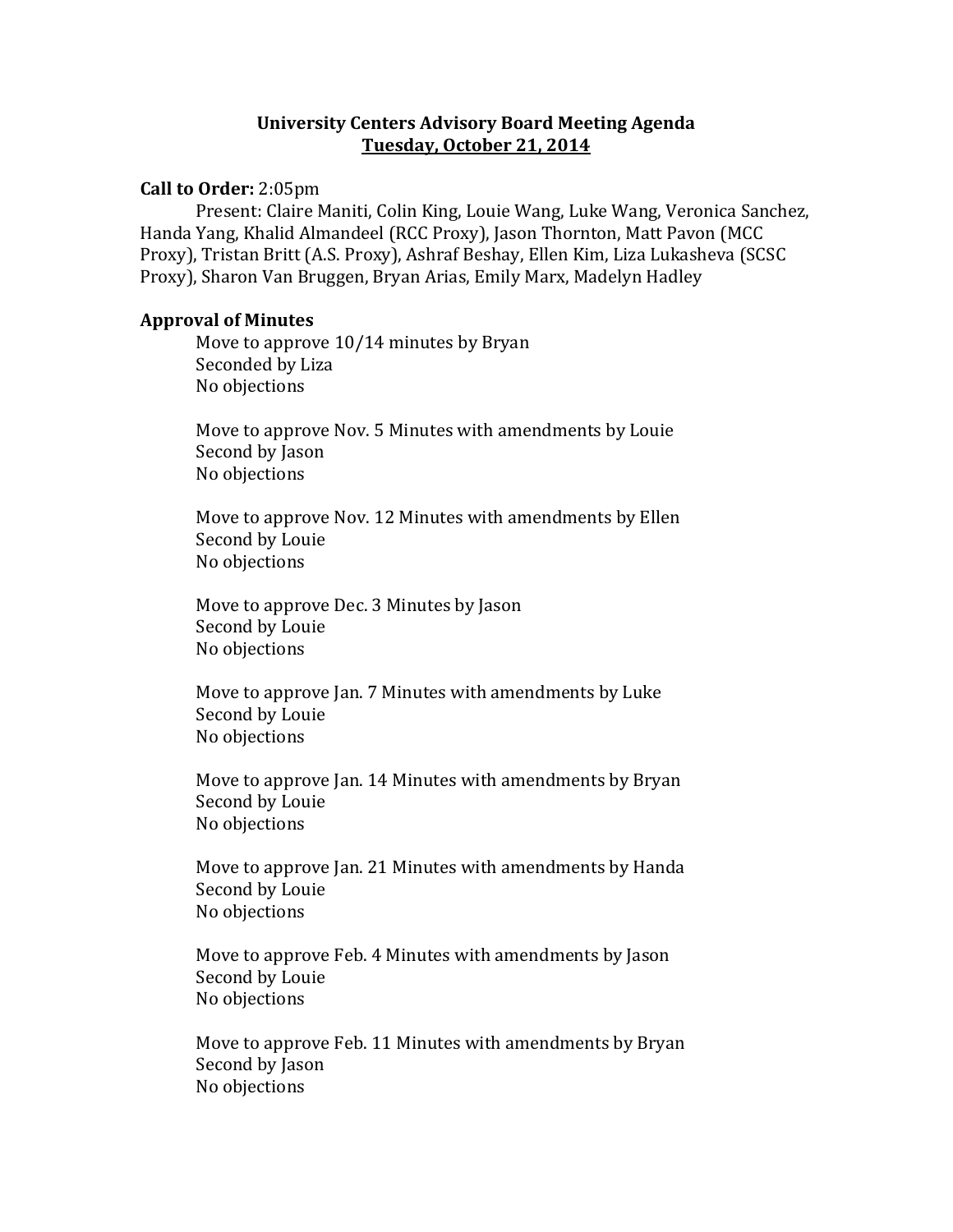# **University Centers Advisory Board Meeting Agenda Tuesday, October 21, 2014**

## **Call to Order:** 2:05pm

Present: Claire Maniti, Colin King, Louie Wang, Luke Wang, Veronica Sanchez, Handa Yang, Khalid Almandeel (RCC Proxy), Jason Thornton, Matt Pavon (MCC Proxy), Tristan Britt (A.S. Proxy), Ashraf Beshay, Ellen Kim, Liza Lukasheva (SCSC Proxy), Sharon Van Bruggen, Bryan Arias, Emily Marx, Madelyn Hadley

#### **Approval of Minutes**

Move to approve 10/14 minutes by Bryan Seconded by Liza No objections

Move to approve Nov. 5 Minutes with amendments by Louie Second by Jason No objections

Move to approve Nov. 12 Minutes with amendments by Ellen Second by Louie No objections

Move to approve Dec. 3 Minutes by Jason Second by Louie No objections

Move to approve Jan. 7 Minutes with amendments by Luke Second by Louie No objections

Move to approve Jan. 14 Minutes with amendments by Bryan Second by Louie No objections

Move to approve Jan. 21 Minutes with amendments by Handa Second by Louie No objections

Move to approve Feb. 4 Minutes with amendments by Jason Second by Louie No objections

Move to approve Feb. 11 Minutes with amendments by Bryan Second by Jason No objections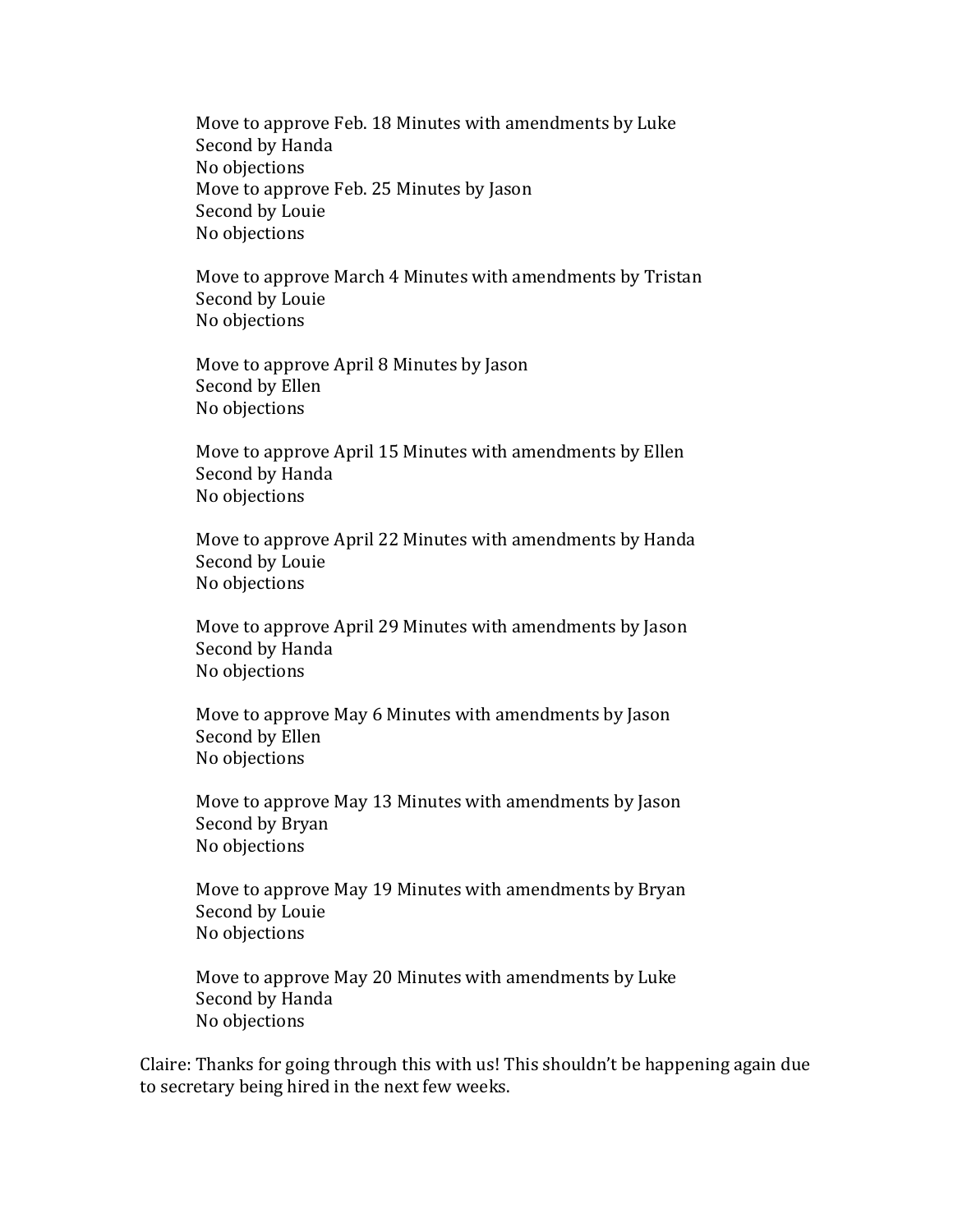Move to approve Feb. 18 Minutes with amendments by Luke Second by Handa No objections Move to approve Feb. 25 Minutes by Jason Second by Louie No objections

Move to approve March 4 Minutes with amendments by Tristan Second by Louie No objections

Move to approve April 8 Minutes by Jason Second by Ellen No objections

Move to approve April 15 Minutes with amendments by Ellen Second by Handa No objections

Move to approve April 22 Minutes with amendments by Handa Second by Louie No objections

Move to approve April 29 Minutes with amendments by Jason Second by Handa No objections

Move to approve May 6 Minutes with amendments by Jason Second by Ellen No objections

Move to approve May 13 Minutes with amendments by Jason Second by Bryan No objections

Move to approve May 19 Minutes with amendments by Bryan Second by Louie No objections

Move to approve May 20 Minutes with amendments by Luke Second by Handa No objections

Claire: Thanks for going through this with us! This shouldn't be happening again due to secretary being hired in the next few weeks.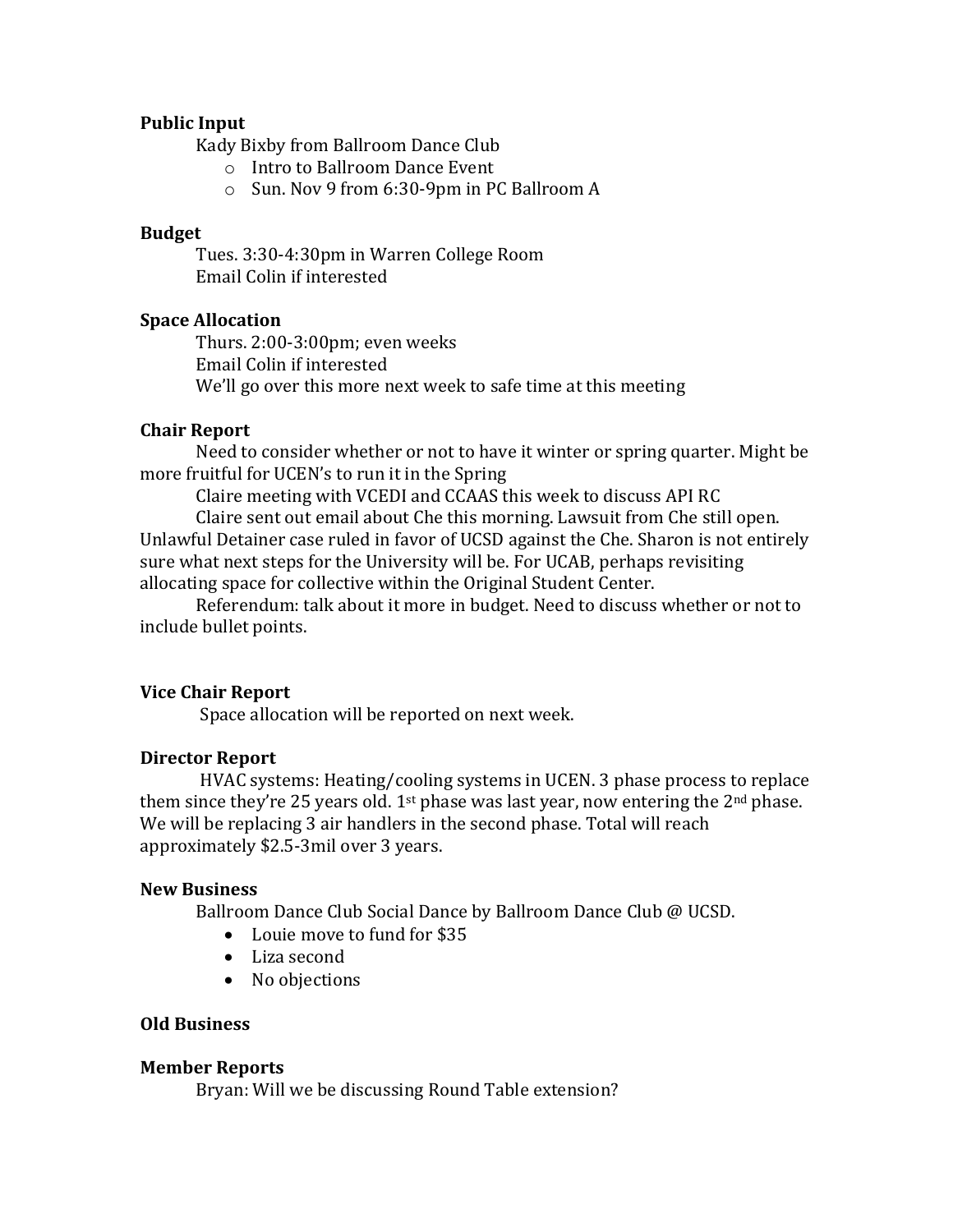# **Public Input**

Kady Bixby from Ballroom Dance Club

- o Intro to Ballroom Dance Event
- o Sun. Nov 9 from 6:30-9pm in PC Ballroom A

## **Budget**

Tues. 3:30-4:30pm in Warren College Room Email Colin if interested

# **Space Allocation**

Thurs. 2:00-3:00pm; even weeks Email Colin if interested We'll go over this more next week to safe time at this meeting

### **Chair Report**

Need to consider whether or not to have it winter or spring quarter. Might be more fruitful for UCEN's to run it in the Spring

Claire meeting with VCEDI and CCAAS this week to discuss API RC

Claire sent out email about Che this morning. Lawsuit from Che still open. Unlawful Detainer case ruled in favor of UCSD against the Che. Sharon is not entirely sure what next steps for the University will be. For UCAB, perhaps revisiting allocating space for collective within the Original Student Center.

Referendum: talk about it more in budget. Need to discuss whether or not to include bullet points.

# **Vice Chair Report**

Space allocation will be reported on next week.

#### **Director Report**

HVAC systems: Heating/cooling systems in UCEN. 3 phase process to replace them since they're 25 years old.  $1<sup>st</sup>$  phase was last year, now entering the  $2<sup>nd</sup>$  phase. We will be replacing 3 air handlers in the second phase. Total will reach approximately \$2.5-3mil over 3 years.

#### **New Business**

Ballroom Dance Club Social Dance by Ballroom Dance Club @ UCSD.

- Louie move to fund for \$35
- Liza second
- No objections

### **Old Business**

#### **Member Reports**

Bryan: Will we be discussing Round Table extension?